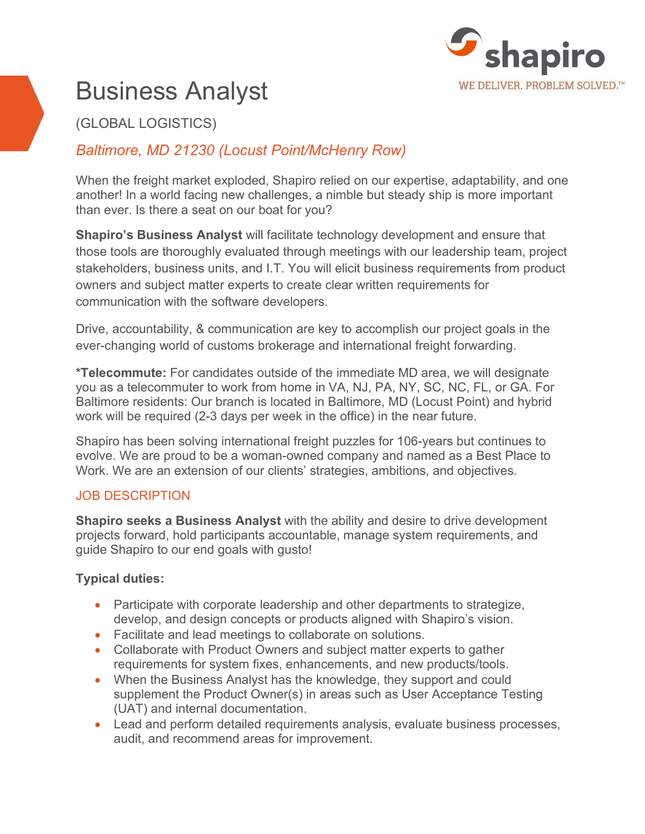

# Business Analyst

## (GLOBAL LOGISTICS)

## *Baltimore, MD 21230 (Locust Point/McHenry Row)*

When the freight market exploded, Shapiro relied on our expertise, adaptability, and one another! In a world facing new challenges, a nimble but steady ship is more important than ever. Is there a seat on our boat for you?

**Shapiro's Business Analyst** will facilitate technology development and ensure that those tools are thoroughly evaluated through meetings with our leadership team, project stakeholders, business units, and I.T. You will elicit business requirements from product owners and subject matter experts to create clear written requirements for communication with the software developers.

Drive, accountability, & communication are key to accomplish our project goals in the ever-changing world of customs brokerage and international freight forwarding.

**\*Telecommute:** For candidates outside of the immediate MD area, we will designate you as a telecommuter to work from home in VA, NJ, PA, NY, SC, NC, FL, or GA. For Baltimore residents: Our branch is located in Baltimore, MD (Locust Point) and hybrid work will be required (2-3 days per week in the office) in the near future.

Shapiro has been solving international freight puzzles for 106-years but continues to evolve. We are proud to be a woman-owned company and named as a Best Place to Work. We are an extension of our clients' strategies, ambitions, and objectives.

#### JOB DESCRIPTION

**Shapiro seeks a Business Analyst** with the ability and desire to drive development projects forward, hold participants accountable, manage system requirements, and guide Shapiro to our end goals with gusto!

#### **Typical duties:**

- Participate with corporate leadership and other departments to strategize, develop, and design concepts or products aligned with Shapiro's vision.
- Facilitate and lead meetings to collaborate on solutions.
- Collaborate with Product Owners and subject matter experts to gather requirements for system fixes, enhancements, and new products/tools.
- When the Business Analyst has the knowledge, they support and could supplement the Product Owner(s) in areas such as User Acceptance Testing (UAT) and internal documentation.
- Lead and perform detailed requirements analysis, evaluate business processes, audit, and recommend areas for improvement.